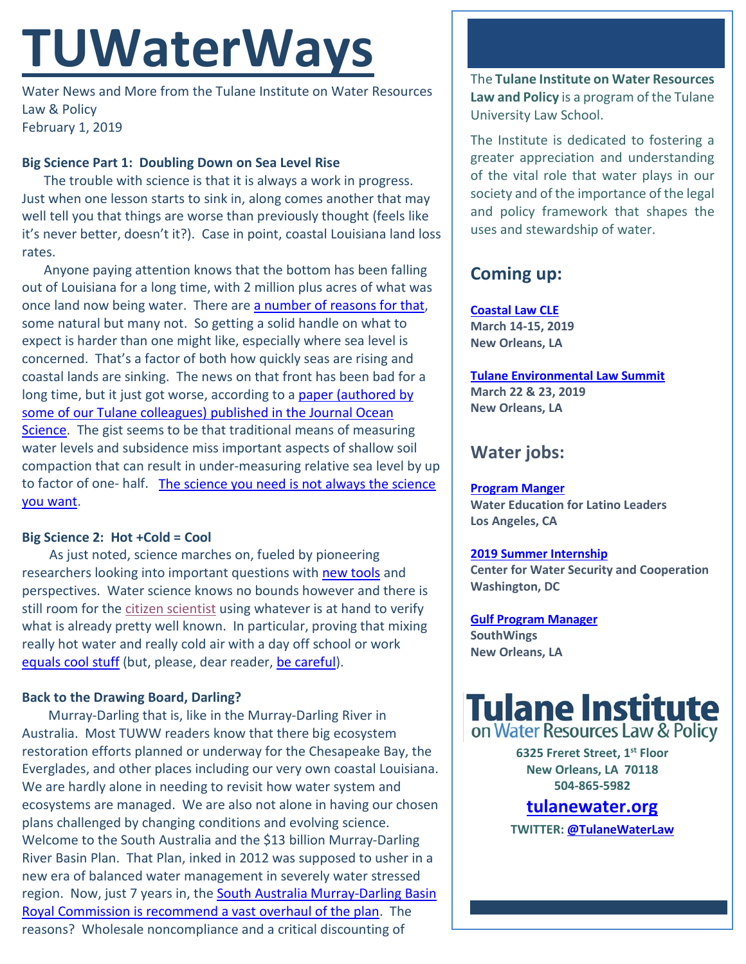# **TUWaterWays**

Water News and More from the Tulane Institute on Water Resources Law & Policy February 1, 2019

## **Big Science Part 1: Doubling Down on Sea Level Rise**

The trouble with science is that it is always a work in progress. Just when one lesson starts to sink in, along comes another that may well tell you that things are worse than previously thought (feels like it's never better, doesn't it?). Case in point, coastal Louisiana land loss rates.

Anyone paying attention knows that the bottom has been falling out of Louisiana for a long time, with 2 million plus acres of what was once land now being water. There are [a number of reasons for that,](https://www.factcheck.org/2017/03/land-loss-in-louisiana/) some natural but many not. So getting a solid handle on what to expect is harder than one might like, especially where sea level is concerned. That's a factor of both how quickly seas are rising and coastal lands are sinking. The news on that front has been bad for a long time, but it just got worse, according to a paper (authored by [some of our Tulane colleagues\) published in the Journal Ocean](https://www.ocean-sci.net/15/61/2019/)  [Science.](https://www.ocean-sci.net/15/61/2019/) The gist seems to be that traditional means of measuring water levels and subsidence miss important aspects of shallow soil compaction that can result in under-measuring relative sea level by up to factor of one- half. [The science you need is not always the science](https://www.youtube.com/watch?v=6LQlLTaaOAs)  [you want.](https://www.youtube.com/watch?v=6LQlLTaaOAs)

### **Big Science 2: Hot +Cold = Cool**

As just noted, science marches on, fueled by pioneering researchers looking into important questions with [new tools](https://www.forbes.com/sites/johnkoetsier/2019/01/18/this-dutch-startup-converts-heat-into-cold-via-a-stirling-engine-and-could-just-save-the-planet/#466e6f8a6744) and perspectives. Water science knows no bounds however and there is still room for th[e citizen scientist](https://i.chzbgr.com/original/5277319424/h0AD61016/) using whatever is at hand to verify what is already pretty well known. In particular, proving that mixing really hot water and really cold air with a day off school or work [equals cool stuff](https://www.ksl.com/article/46480862/have-you-seen-this-boiling-water-meets-minus-41-degrees) (but, please, dear reader, [be careful\)](https://www.twincities.com/2019/01/31/mn-cold-weather-hot-water-trick-lands-two-minnesotans-in-the-hospital/).

### **Back to the Drawing Board, Darling?**

Murray-Darling that is, like in the Murray-Darling River in Australia. Most TUWW readers know that there big ecosystem restoration efforts planned or underway for the Chesapeake Bay, the Everglades, and other places including our very own coastal Louisiana. We are hardly alone in needing to revisit how water system and ecosystems are managed. We are also not alone in having our chosen plans challenged by changing conditions and evolving science. Welcome to the South Australia and the \$13 billion Murray-Darling River Basin Plan. That Plan, inked in 2012 was supposed to usher in a new era of balanced water management in severely water stressed region. Now, just 7 years in, the South Australia Murray-Darling Basin [Royal Commission is recommend a vast overhaul of the plan.](https://www.theguardian.com/australia-news/2019/jan/31/murray-darling-basin-royal-commission-report-finds-gross-maladministration) The reasons? Wholesale noncompliance and a critical discounting of

The **Tulane Institute on Water Resources Law and Policy** is a program of the Tulane University Law School.

The Institute is dedicated to fostering a greater appreciation and understanding of the vital role that water plays in our society and of the importance of the legal and policy framework that shapes the uses and stewardship of water.

## **Coming up:**

**[Coastal Law CLE](https://www.theseminargroup.net/seminardetl.aspx?id=19.shrNO) March 14-15, 2019 New Orleans, LA**

**[Tulane Environmental Law Summit](https://tulaneenvironmentallawsummit.com/) March 22 & 23, 2019 New Orleans, LA**

## **Water jobs:**

**[Program Manger](http://latinosforwater.org/careers/)**

**Water Education for Latino Leaders Los Angeles, CA**

#### **[2019 Summer Internship](https://www.joshswaterjobs.com/jobs/12569)**

**Center for Water Security and Cooperation Washington, DC**

**[Gulf Program Manager](http://www.southwings.org/news/hiring-gulf-manager/) SouthWings New Orleans, LA**

## **Tulane Institute**<br>on Water Resources Law & Policy

**6325 Freret Street, 1st Floor New Orleans, LA 70118 504-865-5982** 

## **tulanewater.org**

**TWITTER[: @TulaneWaterLaw](http://www.twitter.com/TulaneWaterLaw)**